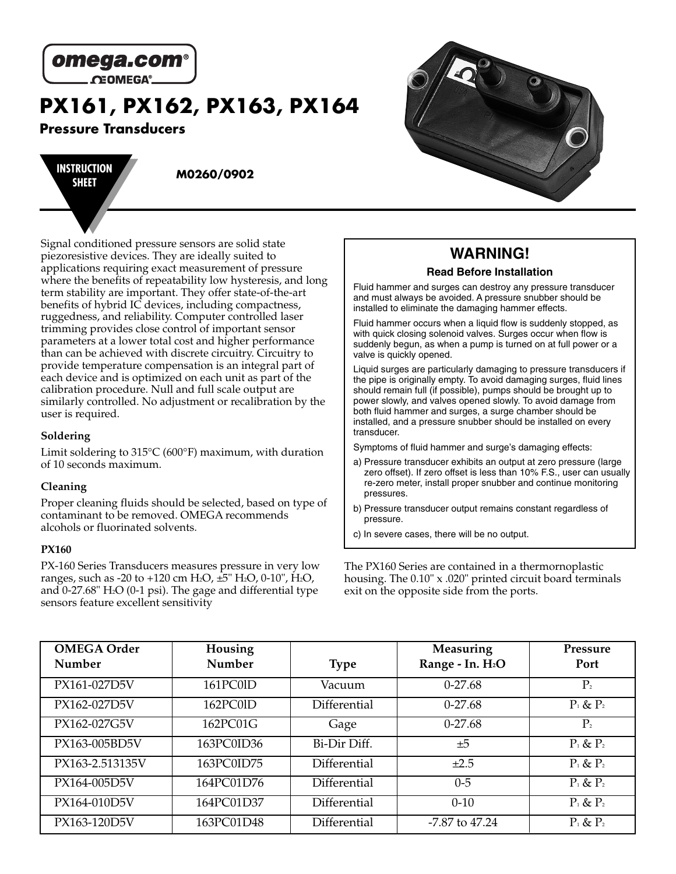

**PX161, PX162, PX163, PX164**

## **Pressure Transducers**

**INSTRUCTION SHEET M0260/0902**

Signal conditioned pressure sensors are solid state piezoresistive devices. They are ideally suited to applications requiring exact measurement of pressure where the benefits of repeatability low hysteresis, and long term stability are important. They offer state-of-the-art benefits of hybrid IC devices, including compactness, ruggedness, and reliability. Computer controlled laser trimming provides close control of important sensor parameters at a lower total cost and higher performance than can be achieved with discrete circuitry. Circuitry to provide temperature compensation is an integral part of each device and is optimized on each unit as part of the calibration procedure. Null and full scale output are similarly controlled. No adjustment or recalibration by the user is required.

#### **Soldering**

Limit soldering to 315°C (600°F) maximum, with duration of 10 seconds maximum.

#### **Cleaning**

Proper cleaning fluids should be selected, based on type of contaminant to be removed. OMEGA recommends alcohols or fluorinated solvents.

#### **PX160**

PX-160 Series Transducers measures pressure in very low ranges, such as -20 to +120 cm H2O, ±5" H2O, 0-10", H2O, and  $0-27.68$ " H<sub>2</sub>O (0-1 psi). The gage and differential type sensors feature excellent sensitivity

### **WARNING! Read Before Installation**

Fluid hammer and surges can destroy any pressure transducer and must always be avoided. A pressure snubber should be installed to eliminate the damaging hammer effects.

Fluid hammer occurs when a liquid flow is suddenly stopped, as with quick closing solenoid valves. Surges occur when flow is suddenly begun, as when a pump is turned on at full power or a valve is quickly opened.

Liquid surges are particularly damaging to pressure transducers if the pipe is originally empty. To avoid damaging surges, fluid lines should remain full (if possible), pumps should be brought up to power slowly, and valves opened slowly. To avoid damage from both fluid hammer and surges, a surge chamber should be installed, and a pressure snubber should be installed on every transducer.

Symptoms of fluid hammer and surge's damaging effects:

- a) Pressure transducer exhibits an output at zero pressure (large zero offset). If zero offset is less than 10% F.S., user can usually re-zero meter, install proper snubber and continue monitoring pressures.
- b) Pressure transducer output remains constant regardless of pressure.
- c) In severe cases, there will be no output.

The PX160 Series are contained in a thermornoplastic housing. The 0.10" x .020" printed circuit board terminals exit on the opposite side from the ports.

| <b>OMEGA Order</b><br>Number | Housing<br>Number | <b>Type</b>  | Measuring<br>Range - In. H <sub>2</sub> O | Pressure<br>Port |
|------------------------------|-------------------|--------------|-------------------------------------------|------------------|
| PX161-027D5V                 | 161PC0lD          | Vacuum       | $0-27.68$                                 | $P_{2}$          |
| PX162-027D5V                 | 162PC01D          | Differential | $0-27.68$                                 | $P_1$ & $P_2$    |
| PX162-027G5V                 | 162PC01G          | Gage         | $0-27.68$                                 | $P_{2}$          |
| PX163-005BD5V                | 163PC0ID36        | Bi-Dir Diff. | ±5                                        | $P_1$ & $P_2$    |
| PX163-2.513135V              | 163PC0ID75        | Differential | $\pm 2.5$                                 | $P_1$ & $P_2$    |
| PX164-005D5V                 | 164PC01D76        | Differential | $0 - 5$                                   | $P_1$ & $P_2$    |
| PX164-010D5V                 | 164PC01D37        | Differential | $0 - 10$                                  | $P_1$ & $P_2$    |
| PX163-120D5V                 | 163PC01D48        | Differential | $-7.87$ to $47.24$                        | $P_1$ & $P_2$    |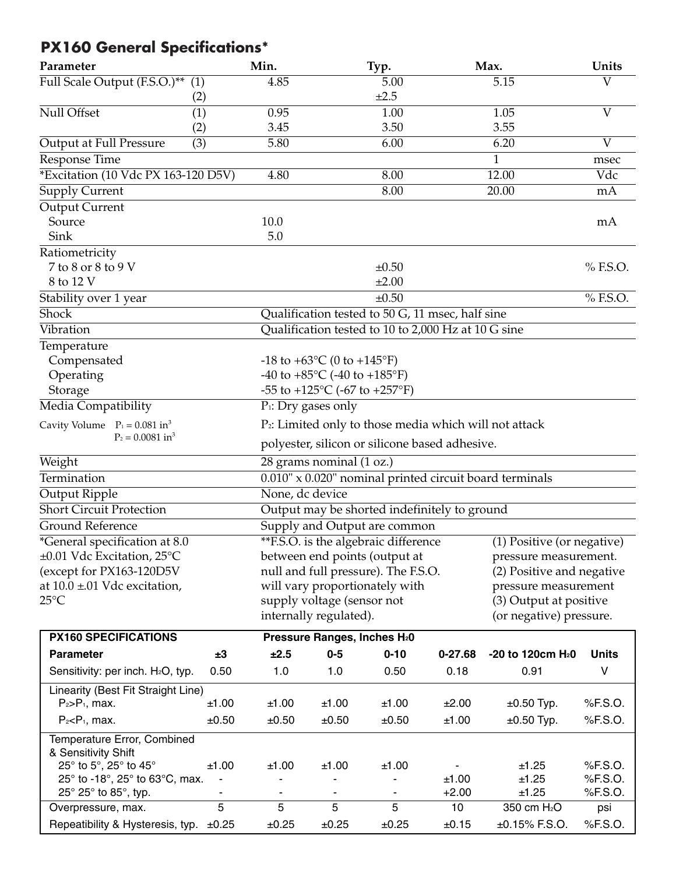# **PX160 General Specifications\***

| Parameter                                          |       | Min.                         |                                                                    | Typ.                                                |             | Max.                                                    | Units          |
|----------------------------------------------------|-------|------------------------------|--------------------------------------------------------------------|-----------------------------------------------------|-------------|---------------------------------------------------------|----------------|
| Full Scale Output (F.S.O.)** (1)                   |       | 4.85                         |                                                                    | 5.00                                                |             | 5.15                                                    | V              |
|                                                    | (2)   |                              |                                                                    | ±2.5                                                |             |                                                         |                |
| Null Offset                                        | (1)   | 0.95                         |                                                                    | 1.00                                                |             | 1.05                                                    | $\overline{V}$ |
|                                                    | (2)   | 3.45                         |                                                                    | 3.50                                                |             | 3.55                                                    |                |
| Output at Full Pressure                            | (3)   | 5.80                         |                                                                    | 6.00                                                |             | 6.20                                                    | $\overline{V}$ |
| <b>Response Time</b>                               |       |                              |                                                                    |                                                     |             | 1                                                       | msec           |
| *Excitation (10 Vdc PX 163-120 D5V)                |       | 4.80                         |                                                                    | 8.00                                                |             | 12.00                                                   | Vdc            |
| <b>Supply Current</b>                              |       |                              |                                                                    | 8.00                                                |             | $\overline{20.00}$                                      | mA             |
| Output Current                                     |       |                              |                                                                    |                                                     |             |                                                         |                |
| Source                                             |       | 10.0                         |                                                                    |                                                     |             |                                                         | mA             |
| Sink                                               |       | 5.0                          |                                                                    |                                                     |             |                                                         |                |
| Ratiometricity                                     |       |                              |                                                                    |                                                     |             |                                                         |                |
| 7 to 8 or 8 to 9 V                                 |       |                              |                                                                    | $\pm 0.50$                                          |             |                                                         | % F.S.O.       |
| 8 to 12 V                                          |       |                              |                                                                    | $\pm 2.00$                                          |             |                                                         |                |
| Stability over 1 year                              |       |                              |                                                                    | $\pm 0.50$                                          |             |                                                         | % F.S.O.       |
| <b>Shock</b>                                       |       |                              |                                                                    | Qualification tested to 50 G, 11 msec, half sine    |             |                                                         |                |
| Vibration                                          |       |                              |                                                                    | Qualification tested to 10 to 2,000 Hz at 10 G sine |             |                                                         |                |
| Temperature                                        |       |                              |                                                                    |                                                     |             |                                                         |                |
| Compensated                                        |       |                              | $-18$ to $+63$ °C (0 to $+145$ °F)                                 |                                                     |             |                                                         |                |
| Operating                                          |       |                              | -40 to +85 $\rm{^{\circ}C}$ (-40 to +185 $\rm{^{\circ}F}$ )        |                                                     |             |                                                         |                |
| Storage                                            |       |                              | -55 to +125 $^{\circ}$ C (-67 to +257 $^{\circ}$ F)                |                                                     |             |                                                         |                |
| Media Compatibility                                |       |                              | $P_1$ : Dry gases only                                             |                                                     |             |                                                         |                |
| Cavity Volume $P_1 = 0.081$ in <sup>3</sup>        |       |                              | P <sub>2</sub> : Limited only to those media which will not attack |                                                     |             |                                                         |                |
| $P_2 = 0.0081$ in <sup>3</sup>                     |       |                              |                                                                    | polyester, silicon or silicone based adhesive.      |             |                                                         |                |
| Weight                                             |       |                              | 28 grams nominal (1 oz.)                                           |                                                     |             |                                                         |                |
| Termination                                        |       |                              |                                                                    |                                                     |             | 0.010" x 0.020" nominal printed circuit board terminals |                |
| Output Ripple                                      |       | None, dc device              |                                                                    |                                                     |             |                                                         |                |
| Short Circuit Protection                           |       |                              |                                                                    | Output may be shorted indefinitely to ground        |             |                                                         |                |
| Ground Reference                                   |       |                              |                                                                    | Supply and Output are common                        |             |                                                         |                |
| <i>*</i> General specification at 8.0              |       |                              |                                                                    | <b>**F.S.O.</b> is the algebraic difference         |             | (1) Positive (or negative)                              |                |
| ±0.01 Vdc Excitation, 25°C                         |       |                              |                                                                    | between end points (output at                       |             | pressure measurement.                                   |                |
| (except for PX163-120D5V                           |       |                              |                                                                    | null and full pressure). The F.S.O.                 |             | (2) Positive and negative                               |                |
| at $10.0 \pm 01$ Vdc excitation,                   |       |                              |                                                                    | will vary proportionately with                      |             | pressure measurement                                    |                |
| $25^{\circ}$ C                                     |       |                              | supply voltage (sensor not                                         |                                                     |             | (3) Output at positive                                  |                |
|                                                    |       |                              | internally regulated).                                             |                                                     |             | (or negative) pressure.                                 |                |
| <b>PX160 SPECIFICATIONS</b>                        |       |                              | Pressure Ranges, Inches H <sub>2</sub> 0                           |                                                     |             |                                                         |                |
| <b>Parameter</b>                                   | ±3    | ±2.5                         | $0-5$                                                              | $0 - 10$                                            | $0 - 27.68$ | -20 to 120cm H <sub>2</sub> 0                           | <b>Units</b>   |
| Sensitivity: per inch. H <sub>2</sub> O, typ.      | 0.50  | 1.0                          | 1.0                                                                | 0.50                                                | 0.18        | 0.91                                                    | V              |
| Linearity (Best Fit Straight Line)                 |       |                              |                                                                    |                                                     |             |                                                         |                |
| $P_2 > P_1$ , max.                                 | ±1.00 | ±1.00                        | ±1.00                                                              | ±1.00                                               | ±2.00       | $\pm 0.50$ Typ.                                         | %F.S.O.        |
| $P_2 < P_1$ , max.                                 | ±0.50 | ±0.50                        | ±0.50                                                              | ±0.50                                               | ±1.00       | $\pm 0.50$ Typ.                                         | %F.S.O.        |
| Temperature Error, Combined<br>& Sensitivity Shift |       |                              |                                                                    |                                                     |             |                                                         |                |
| 25° to 5°, 25° to 45°                              | ±1.00 | ±1.00                        | ±1.00                                                              | ±1.00                                               |             | ±1.25                                                   | %F.S.O.        |
| 25° to -18°, 25° to 63°C, max.                     | ٠     |                              |                                                                    |                                                     | ±1.00       | ±1.25                                                   | %F.S.O.        |
| $25^{\circ}$ 25 $^{\circ}$ to 85 $^{\circ}$ , typ. |       | $\qquad \qquad \blacksquare$ | ٠                                                                  |                                                     | $+2.00$     | ±1.25                                                   | %F.S.O.        |
| Overpressure, max.                                 | 5     | 5                            | $\overline{5}$                                                     | 5                                                   | 10          | 350 cm H <sub>2</sub> O                                 | psi            |
| Repeatibility & Hysteresis, typ.                   | ±0.25 | ±0.25                        | ±0.25                                                              | ±0.25                                               | ±0.15       | $±0.15\%$ F.S.O.                                        | %F.S.O.        |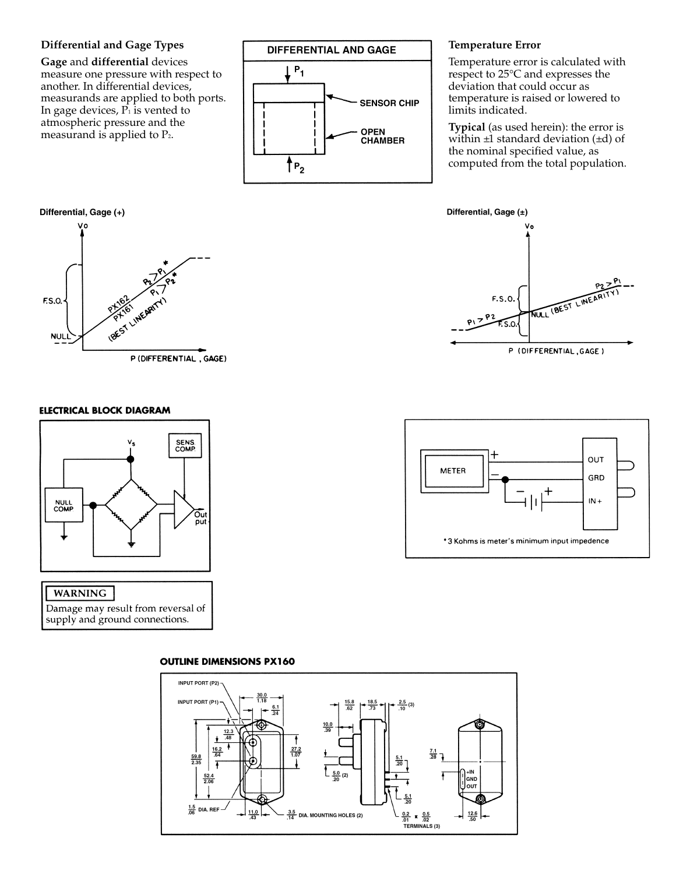#### **Differential and Gage Types**

**Gage** and **differential** devices measure one pressure with respect to another. In differential devices, measurands are applied to both ports. In gage devices,  $P_1$  is vented to atmospheric pressure and the measurand is applied to P 2 .



#### **Temperature Error**

Temperature error is calculated with respect to 25°C and expresses the deviation that could occur as temperature is raised or lowered to limits indicated.

**Typical** (as used herein): the error is within  $\pm 1$  standard deviation ( $\pm d$ ) of the nominal specified value, as computed from the total population.





# Differential, Gage (+) F.S.O. DEST LINEARY **NULI** P (DIFFERENTIAL, GAGE)

#### **ELECTRICAL BLOCK DIAGRAM**



#### **WARNING**

Damage may result from reversal of supply and ground connections.



#### **OUTLINE DIMENSIONS PX160**